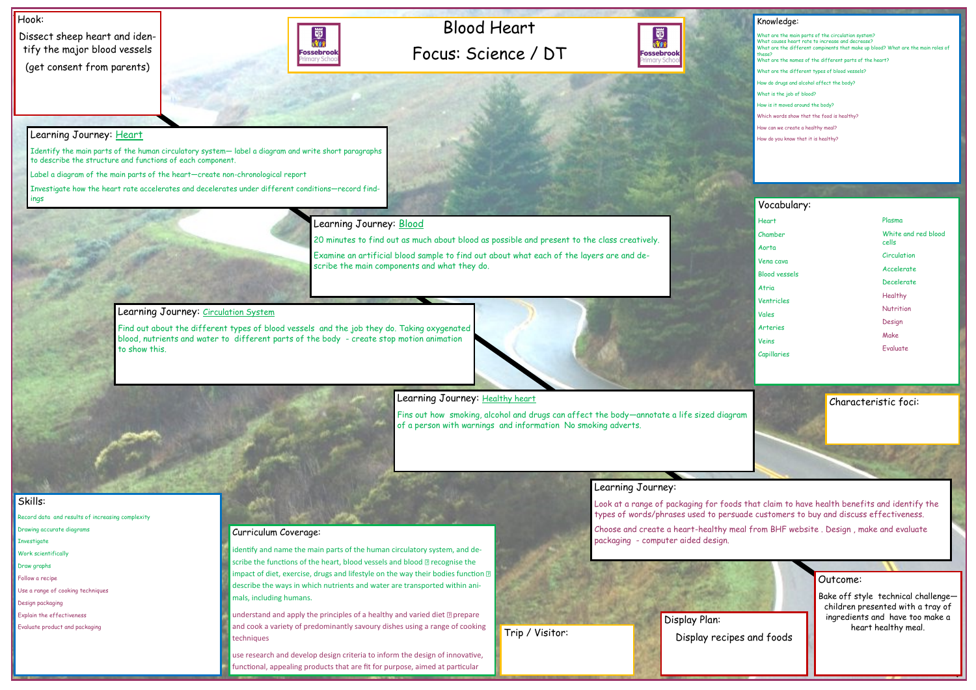# Blood Heart Focus: Science / DT



### Hook:

Dissect sheep heart and identify the major blood vessels (get consent from parents)



## Outcome:

Bake off style technical challenge children presented with a tray of ingredients and have too make a heart healthy meal.

#### Knowledge:

What are the main parts of the circulation system? What causes heart rate to increase and decrease? What are the different compinents that make up blood? What are the main roles of these? What are the names of the different parts of the heart? What are the different types of blood vessels? How do drugs and alcohol affect the body? What is the job of blood? How is it moved around the body? Which words show that the food is healthy? How can we create a healthy meal? How do you know that it is healthy?

## Skills:

Record data and results of increasing complexity

- Drawing accurate diagrams
- **Investigate**
- Work scientifically
- Draw graphs
- Follow a recipe Use a range of cooking techniques
- 
- Design packaging Explain the effectiveness
- Evaluate product and packaging

## Learning Journey: Heart

Identify the main parts of the human circulatory system— label a diagram and write short paragraphs to describe the structure and functions of each component.

Label a diagram of the main parts of the heart—create non-chronological report

Investigate how the heart rate accelerates and decelerates under different conditions—record findings

## Learning Journey: Blood

understand and apply the principles of a healthy and varied diet  $\Omega$  prepare and cook a variety of predominantly savoury dishes using a range of cooking techniques

20 minutes to find out as much about blood as possible and present to the class creatively.

Examine an artificial blood sample to find out about what each of the layers are and describe the main components and what they do.

## Learning Journey: Circulation System

Find out about the different types of blood vessels and the job they do. Taking oxygenated blood, nutrients and water to different parts of the body - create stop motion animation to show this.



## Learning Journey: Healthy heart

Fins out how smoking, alcohol and drugs can affect the body—annotate a life sized diagram of a person with warnings and information No smoking adverts.

## Learning Journey:

Look at a range of packaging for foods that claim to have health benefits and identify the types of words/phrases used to persuade customers to buy and discuss effectiveness.

Choose and create a heart-healthy meal from BHF website . Design , make and evaluate packaging - computer aided design.

## Curriculum Coverage:

identify and name the main parts of the human circulatory system, and describe the functions of the heart, blood vessels and blood **I** recognise the impact of diet, exercise, drugs and lifestyle on the way their bodies function  $\mathbb D$ describe the ways in which nutrients and water are transported within animals, including humans.

use research and develop design criteria to inform the design of innovative, functional, appealing products that are fit for purpose, aimed at particular

# Vocabulary:

Heart Chamber Aorta Vena cava Blood vessels Atria Ventricles Vales Arteries Veins Capillaries

Display Plan:



Characteristic foci:

#### Plasma

- White and red blood cells
- **Circulation**
- Accelerate
- Decelerate
- Healthy
- **Nutrition**
- Design
- Make
- Evaluate